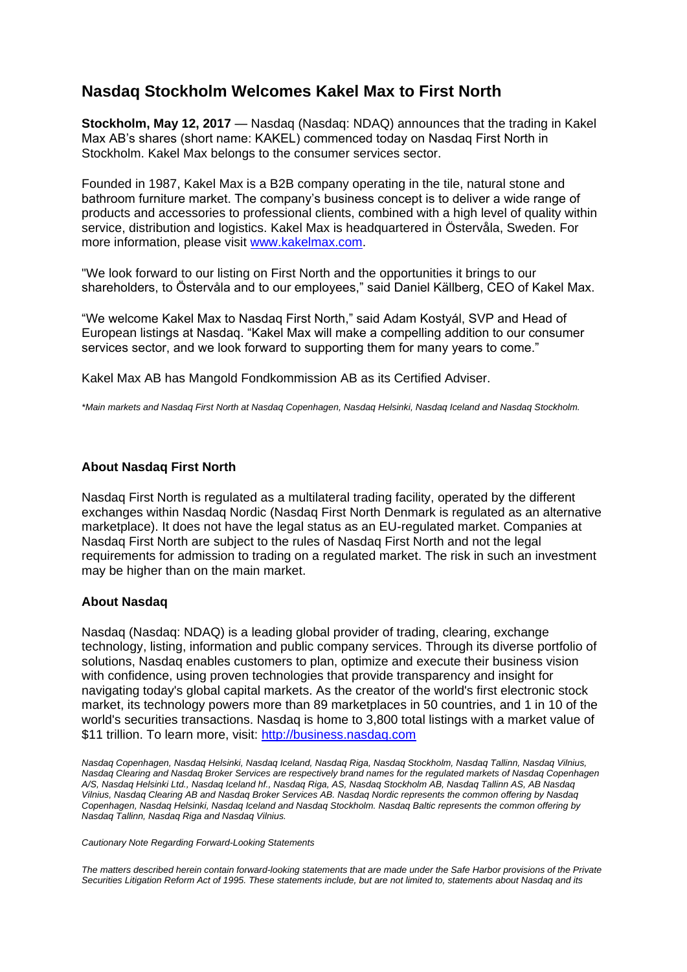## **Nasdaq Stockholm Welcomes Kakel Max to First North**

**Stockholm, May 12, 2017** — Nasdaq (Nasdaq: NDAQ) announces that the trading in Kakel Max AB's shares (short name: KAKEL) commenced today on Nasdaq First North in Stockholm. Kakel Max belongs to the consumer services sector.

Founded in 1987, Kakel Max is a B2B company operating in the tile, natural stone and bathroom furniture market. The company's business concept is to deliver a wide range of products and accessories to professional clients, combined with a high level of quality within service, distribution and logistics. Kakel Max is headquartered in Östervåla, Sweden. For more information, please visit [www.kakelmax.com.](http://www.kakelmax.com/)

"We look forward to our listing on First North and the opportunities it brings to our shareholders, to Östervåla and to our employees," said Daniel Källberg, CEO of Kakel Max.

"We welcome Kakel Max to Nasdaq First North," said Adam Kostyál, SVP and Head of European listings at Nasdaq. "Kakel Max will make a compelling addition to our consumer services sector, and we look forward to supporting them for many years to come."

Kakel Max AB has Mangold Fondkommission AB as its Certified Adviser.

*\*Main markets and Nasdaq First North at Nasdaq Copenhagen, Nasdaq Helsinki, Nasdaq Iceland and Nasdaq Stockholm.* 

## **About Nasdaq First North**

Nasdaq First North is regulated as a multilateral trading facility, operated by the different exchanges within Nasdaq Nordic (Nasdaq First North Denmark is regulated as an alternative marketplace). It does not have the legal status as an EU-regulated market. Companies at Nasdaq First North are subject to the rules of Nasdaq First North and not the legal requirements for admission to trading on a regulated market. The risk in such an investment may be higher than on the main market.

## **About Nasdaq**

Nasdaq (Nasdaq: NDAQ) is a leading global provider of trading, clearing, exchange technology, listing, information and public company services. Through its diverse portfolio of solutions, Nasdaq enables customers to plan, optimize and execute their business vision with confidence, using proven technologies that provide transparency and insight for navigating today's global capital markets. As the creator of the world's first electronic stock market, its technology powers more than 89 marketplaces in 50 countries, and 1 in 10 of the world's securities transactions. Nasdaq is home to 3,800 total listings with a market value of \$11 trillion. To learn more, visit: [http://business.nasdaq.com](http://business.nasdaq.com/)

*Nasdaq Copenhagen, Nasdaq Helsinki, Nasdaq Iceland, Nasdaq Riga, Nasdaq Stockholm, Nasdaq Tallinn, Nasdaq Vilnius, Nasdaq Clearing and Nasdaq Broker Services are respectively brand names for the regulated markets of Nasdaq Copenhagen A/S, Nasdaq Helsinki Ltd., Nasdaq Iceland hf., Nasdaq Riga, AS, Nasdaq Stockholm AB, Nasdaq Tallinn AS, AB Nasdaq Vilnius, Nasdaq Clearing AB and Nasdaq Broker Services AB. Nasdaq Nordic represents the common offering by Nasdaq Copenhagen, Nasdaq Helsinki, Nasdaq Iceland and Nasdaq Stockholm. Nasdaq Baltic represents the common offering by Nasdaq Tallinn, Nasdaq Riga and Nasdaq Vilnius.*

*Cautionary Note Regarding Forward-Looking Statements* 

*The matters described herein contain forward-looking statements that are made under the Safe Harbor provisions of the Private Securities Litigation Reform Act of 1995. These statements include, but are not limited to, statements about Nasdaq and its*